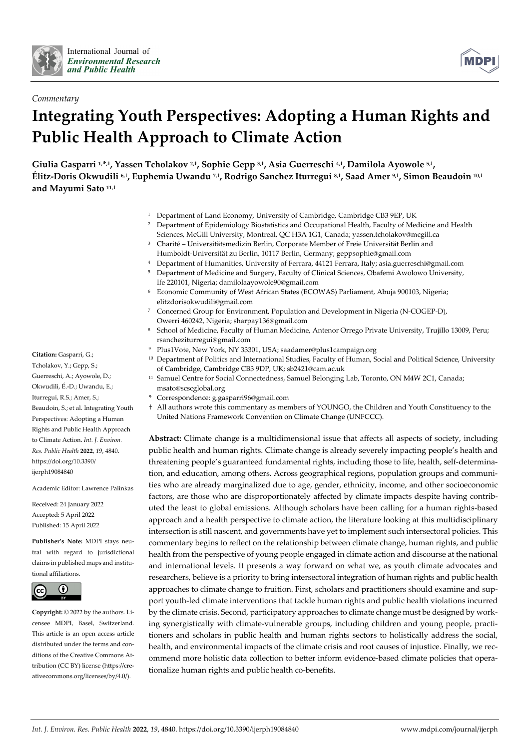



# *Commentary* **Integrating Youth Perspectives: Adopting a Human Rights and Public Health Approach to Climate Action**

**Giulia Gasparri 1, \*,†, Yassen Tcholakov 2,†, Sophie Gepp 3,†, Asia Guerreschi 4,†, Damilola Ayowole 5,†, Élitz-Doris Okwudili 6,†, Euphemia Uwandu 7,†, Rodrigo Sanchez Iturregui 8,†, Saad Amer 9,†, Simon Beaudoin 10,† and Mayumi Sato 11,†**

- <sup>1</sup> Department of Land Economy, University of Cambridge, Cambridge CB3 9EP, UK
- <sup>2</sup> Department of Epidemiology Biostatistics and Occupational Health, Faculty of Medicine and Health Sciences, McGill University, Montreal, QC H3A 1G1, Canada; yassen.tcholakov@mcgill.ca
- <sup>3</sup> Charité Universitätsmedizin Berlin, Corporate Member of Freie Universität Berlin and Humboldt-Universität zu Berlin, 10117 Berlin, Germany; geppsophie@gmail.com
- <sup>4</sup> Department of Humanities, University of Ferrara, 44121 Ferrara, Italy; asia.guerreschi@gmail.com
- <sup>5</sup> Department of Medicine and Surgery, Faculty of Clinical Sciences, Obafemi Awolowo University, Ife 220101, Nigeria; damilolaayowole90@gmail.com
- <sup>6</sup> Economic Community of West African States (ECOWAS) Parliament, Abuja 900103, Nigeria; elitzdorisokwudili@gmail.com
- <sup>7</sup> Concerned Group for Environment, Population and Development in Nigeria (N-COGEP-D), Owerri 460242, Nigeria; sharpay136@gmail.com
- <sup>8</sup> School of Medicine, Faculty of Human Medicine, Antenor Orrego Private University, Trujillo 13009, Peru; rsancheziturregui@gmail.com
- Plus1Vote, New York, NY 33301, USA; saadamer@plus1campaign.org
- <sup>10</sup> Department of Politics and International Studies, Faculty of Human, Social and Political Science, University of Cambridge, Cambridge CB3 9DP, UK; sb2421@cam.ac.uk
- <sup>11</sup> Samuel Centre for Social Connectedness, Samuel Belonging Lab, Toronto, ON M4W 2C1, Canada; msato@scscglobal.org
- **\*** Correspondence: g.gasparri96@gmail.com
- † All authors wrote this commentary as members of YOUNGO, the Children and Youth Constituency to the United Nations Framework Convention on Climate Change (UNFCCC).

**Abstract:** Climate change is a multidimensional issue that affects all aspects of society, including public health and human rights. Climate change is already severely impacting people's health and threatening people's guaranteed fundamental rights, including those to life, health, self-determination, and education, among others. Across geographical regions, population groups and communities who are already marginalized due to age, gender, ethnicity, income, and other socioeconomic factors, are those who are disproportionately affected by climate impacts despite having contributed the least to global emissions. Although scholars have been calling for a human rights-based approach and a health perspective to climate action, the literature looking at this multidisciplinary intersection is still nascent, and governments have yet to implement such intersectoral policies. This commentary begins to reflect on the relationship between climate change, human rights, and public health from the perspective of young people engaged in climate action and discourse at the national and international levels. It presents a way forward on what we, as youth climate advocates and researchers, believe is a priority to bring intersectoral integration of human rights and public health approaches to climate change to fruition. First, scholars and practitioners should examine and support youth-led climate interventions that tackle human rights and public health violations incurred by the climate crisis. Second, participatory approaches to climate change must be designed by working synergistically with climate-vulnerable groups, including children and young people, practitioners and scholars in public health and human rights sectors to holistically address the social, health, and environmental impacts of the climate crisis and root causes of injustice. Finally, we recommend more holistic data collection to better inform evidence-based climate policies that operationalize human rights and public health co-benefits.

**Citation:** Gasparri, G.;

Tcholakov, Y.; Gepp, S.; Guerreschi, A.; Ayowole, D.; Okwudili, É.-D.; Uwandu, E.; Iturregui, R.S.; Amer, S.; Beaudoin, S.; et al. Integrating Youth Perspectives: Adopting a Human Rights and Public Health Approach to Climate Action. *Int. J. Environ. Res. Public Health* **2022**, *19*, 4840. https://doi.org/10.3390/ ijerph19084840

Academic Editor: Lawrence Palinkas

Received: 24 January 2022 Accepted: 5 April 2022 Published: 15 April 2022

**Publisher's Note:** MDPI stays neutral with regard to jurisdictional claims in published maps and institutional affiliations.



**Copyright:** © 2022 by the authors. Licensee MDPI, Basel, Switzerland. This article is an open access article distributed under the terms and conditions of the Creative Commons Attribution (CC BY) license (https://creativecommons.org/licenses/by/4.0/).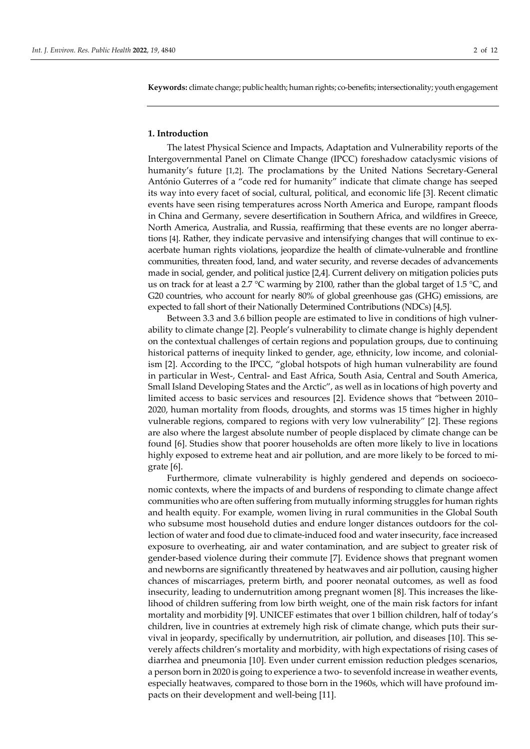**Keywords:** climate change; public health; human rights; co-benefits; intersectionality; youth engagement

## **1. Introduction**

The latest Physical Science and Impacts, Adaptation and Vulnerability reports of the Intergovernmental Panel on Climate Change (IPCC) foreshadow cataclysmic visions of humanity's future [1,2]. The proclamations by the United Nations Secretary-General António Guterres of a "code red for humanity" indicate that climate change has seeped its way into every facet of social, cultural, political, and economic life [3]. Recent climatic events have seen rising temperatures across North America and Europe, rampant floods in China and Germany, severe desertification in Southern Africa, and wildfires in Greece, North America, Australia, and Russia, reaffirming that these events are no longer aberrations [4]. Rather, they indicate pervasive and intensifying changes that will continue to exacerbate human rights violations, jeopardize the health of climate-vulnerable and frontline communities, threaten food, land, and water security, and reverse decades of advancements made in social, gender, and political justice [2,4]. Current delivery on mitigation policies puts us on track for at least a 2.7 °C warming by 2100, rather than the global target of 1.5 °C, and G20 countries, who account for nearly 80% of global greenhouse gas (GHG) emissions, are expected to fall short of their Nationally Determined Contributions (NDCs) [4,5].

Between 3.3 and 3.6 billion people are estimated to live in conditions of high vulnerability to climate change [2]. People's vulnerability to climate change is highly dependent on the contextual challenges of certain regions and population groups, due to continuing historical patterns of inequity linked to gender, age, ethnicity, low income, and colonialism [2]. According to the IPCC, "global hotspots of high human vulnerability are found in particular in West-, Central- and East Africa, South Asia, Central and South America, Small Island Developing States and the Arctic", as well as in locations of high poverty and limited access to basic services and resources [2]. Evidence shows that "between 2010– 2020, human mortality from floods, droughts, and storms was 15 times higher in highly vulnerable regions, compared to regions with very low vulnerability" [2]. These regions are also where the largest absolute number of people displaced by climate change can be found [6]. Studies show that poorer households are often more likely to live in locations highly exposed to extreme heat and air pollution, and are more likely to be forced to migrate [6].

Furthermore, climate vulnerability is highly gendered and depends on socioeconomic contexts, where the impacts of and burdens of responding to climate change affect communities who are often suffering from mutually informing struggles for human rights and health equity. For example, women living in rural communities in the Global South who subsume most household duties and endure longer distances outdoors for the collection of water and food due to climate-induced food and water insecurity, face increased exposure to overheating, air and water contamination, and are subject to greater risk of gender-based violence during their commute [7]. Evidence shows that pregnant women and newborns are significantly threatened by heatwaves and air pollution, causing higher chances of miscarriages, preterm birth, and poorer neonatal outcomes, as well as food insecurity, leading to undernutrition among pregnant women [8]. This increases the likelihood of children suffering from low birth weight, one of the main risk factors for infant mortality and morbidity [9]. UNICEF estimates that over 1 billion children, half of today's children, live in countries at extremely high risk of climate change, which puts their survival in jeopardy, specifically by undernutrition, air pollution, and diseases [10]. This severely affects children's mortality and morbidity, with high expectations of rising cases of diarrhea and pneumonia [10]. Even under current emission reduction pledges scenarios, a person born in 2020 is going to experience a two- to sevenfold increase in weather events, especially heatwaves, compared to those born in the 1960s, which will have profound impacts on their development and well-being [11].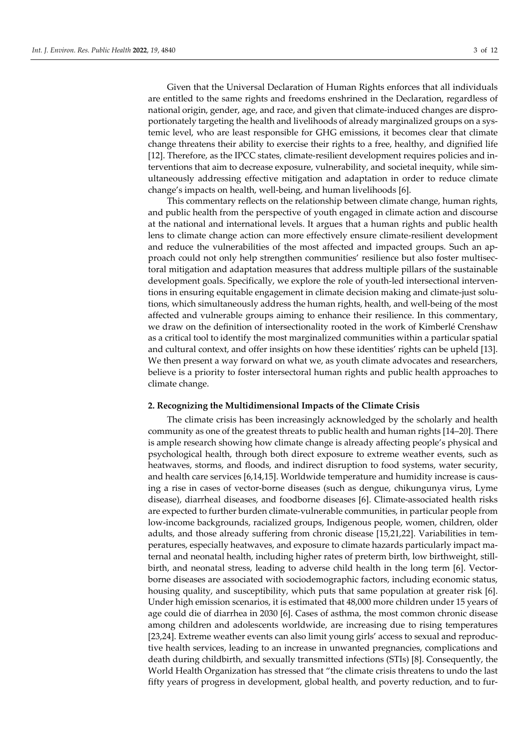Given that the Universal Declaration of Human Rights enforces that all individuals are entitled to the same rights and freedoms enshrined in the Declaration, regardless of national origin, gender, age, and race, and given that climate-induced changes are disproportionately targeting the health and livelihoods of already marginalized groups on a systemic level, who are least responsible for GHG emissions, it becomes clear that climate change threatens their ability to exercise their rights to a free, healthy, and dignified life [12]. Therefore, as the IPCC states, climate-resilient development requires policies and interventions that aim to decrease exposure, vulnerability, and societal inequity, while simultaneously addressing effective mitigation and adaptation in order to reduce climate change's impacts on health, well-being, and human livelihoods [6].

This commentary reflects on the relationship between climate change, human rights, and public health from the perspective of youth engaged in climate action and discourse at the national and international levels. It argues that a human rights and public health lens to climate change action can more effectively ensure climate-resilient development and reduce the vulnerabilities of the most affected and impacted groups. Such an approach could not only help strengthen communities' resilience but also foster multisectoral mitigation and adaptation measures that address multiple pillars of the sustainable development goals. Specifically, we explore the role of youth-led intersectional interventions in ensuring equitable engagement in climate decision making and climate-just solutions, which simultaneously address the human rights, health, and well-being of the most affected and vulnerable groups aiming to enhance their resilience. In this commentary, we draw on the definition of intersectionality rooted in the work of Kimberlé Crenshaw as a critical tool to identify the most marginalized communities within a particular spatial and cultural context, and offer insights on how these identities' rights can be upheld [13]. We then present a way forward on what we, as youth climate advocates and researchers, believe is a priority to foster intersectoral human rights and public health approaches to climate change.

#### **2. Recognizing the Multidimensional Impacts of the Climate Crisis**

The climate crisis has been increasingly acknowledged by the scholarly and health community as one of the greatest threats to public health and human rights [14–20]. There is ample research showing how climate change is already affecting people's physical and psychological health, through both direct exposure to extreme weather events, such as heatwaves, storms, and floods, and indirect disruption to food systems, water security, and health care services [6,14,15]. Worldwide temperature and humidity increase is causing a rise in cases of vector-borne diseases (such as dengue, chikungunya virus, Lyme disease), diarrheal diseases, and foodborne diseases [6]. Climate-associated health risks are expected to further burden climate-vulnerable communities, in particular people from low-income backgrounds, racialized groups, Indigenous people, women, children, older adults, and those already suffering from chronic disease [15,21,22]. Variabilities in temperatures, especially heatwaves, and exposure to climate hazards particularly impact maternal and neonatal health, including higher rates of preterm birth, low birthweight, stillbirth, and neonatal stress, leading to adverse child health in the long term [6]. Vectorborne diseases are associated with sociodemographic factors, including economic status, housing quality, and susceptibility, which puts that same population at greater risk [6]. Under high emission scenarios, it is estimated that 48,000 more children under 15 years of age could die of diarrhea in 2030 [6]. Cases of asthma, the most common chronic disease among children and adolescents worldwide, are increasing due to rising temperatures [23,24]. Extreme weather events can also limit young girls' access to sexual and reproductive health services, leading to an increase in unwanted pregnancies, complications and death during childbirth, and sexually transmitted infections (STIs) [8]. Consequently, the World Health Organization has stressed that "the climate crisis threatens to undo the last fifty years of progress in development, global health, and poverty reduction, and to fur-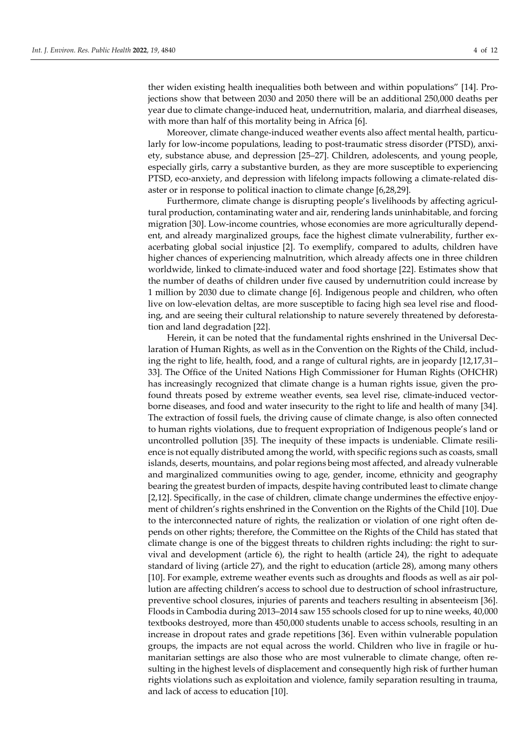ther widen existing health inequalities both between and within populations" [14]. Projections show that between 2030 and 2050 there will be an additional 250,000 deaths per year due to climate change-induced heat, undernutrition, malaria, and diarrheal diseases, with more than half of this mortality being in Africa [6].

Moreover, climate change-induced weather events also affect mental health, particularly for low-income populations, leading to post-traumatic stress disorder (PTSD), anxiety, substance abuse, and depression [25–27]. Children, adolescents, and young people, especially girls, carry a substantive burden, as they are more susceptible to experiencing PTSD, eco-anxiety, and depression with lifelong impacts following a climate-related disaster or in response to political inaction to climate change [6,28,29].

Furthermore, climate change is disrupting people's livelihoods by affecting agricultural production, contaminating water and air, rendering lands uninhabitable, and forcing migration [30]. Low-income countries, whose economies are more agriculturally dependent, and already marginalized groups, face the highest climate vulnerability, further exacerbating global social injustice [2]. To exemplify, compared to adults, children have higher chances of experiencing malnutrition, which already affects one in three children worldwide, linked to climate-induced water and food shortage [22]. Estimates show that the number of deaths of children under five caused by undernutrition could increase by 1 million by 2030 due to climate change [6]. Indigenous people and children, who often live on low-elevation deltas, are more susceptible to facing high sea level rise and flooding, and are seeing their cultural relationship to nature severely threatened by deforestation and land degradation [22].

Herein, it can be noted that the fundamental rights enshrined in the Universal Declaration of Human Rights, as well as in the Convention on the Rights of the Child, including the right to life, health, food, and a range of cultural rights, are in jeopardy [12,17,31– 33]. The Office of the United Nations High Commissioner for Human Rights (OHCHR) has increasingly recognized that climate change is a human rights issue, given the profound threats posed by extreme weather events, sea level rise, climate-induced vectorborne diseases, and food and water insecurity to the right to life and health of many [34]. The extraction of fossil fuels, the driving cause of climate change, is also often connected to human rights violations, due to frequent expropriation of Indigenous people's land or uncontrolled pollution [35]. The inequity of these impacts is undeniable. Climate resilience is not equally distributed among the world, with specific regions such as coasts, small islands, deserts, mountains, and polar regions being most affected, and already vulnerable and marginalized communities owing to age, gender, income, ethnicity and geography bearing the greatest burden of impacts, despite having contributed least to climate change [2,12]. Specifically, in the case of children, climate change undermines the effective enjoyment of children's rights enshrined in the Convention on the Rights of the Child [10]. Due to the interconnected nature of rights, the realization or violation of one right often depends on other rights; therefore, the Committee on the Rights of the Child has stated that climate change is one of the biggest threats to children rights including: the right to survival and development (article 6), the right to health (article 24), the right to adequate standard of living (article 27), and the right to education (article 28), among many others [10]. For example, extreme weather events such as droughts and floods as well as air pollution are affecting children's access to school due to destruction of school infrastructure, preventive school closures, injuries of parents and teachers resulting in absenteeism [36]. Floods in Cambodia during 2013–2014 saw 155 schools closed for up to nine weeks, 40,000 textbooks destroyed, more than 450,000 students unable to access schools, resulting in an increase in dropout rates and grade repetitions [36]. Even within vulnerable population groups, the impacts are not equal across the world. Children who live in fragile or humanitarian settings are also those who are most vulnerable to climate change, often resulting in the highest levels of displacement and consequently high risk of further human rights violations such as exploitation and violence, family separation resulting in trauma, and lack of access to education [10].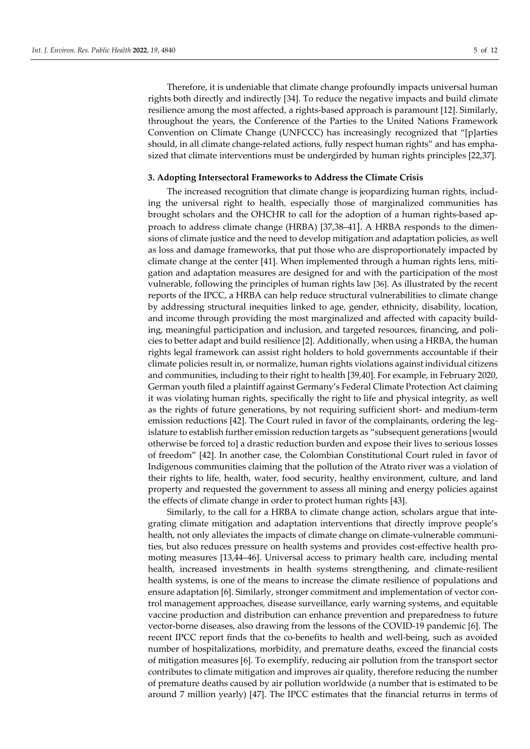Therefore, it is undeniable that climate change profoundly impacts universal human rights both directly and indirectly [34]. To reduce the negative impacts and build climate resilience among the most affected, a rights-based approach is paramount [12]. Similarly, throughout the years, the Conference of the Parties to the United Nations Framework Convention on Climate Change (UNFCCC) has increasingly recognized that "[p]arties should, in all climate change-related actions, fully respect human rights" and has emphasized that climate interventions must be undergirded by human rights principles [22,37].

#### **3. Adopting Intersectoral Frameworks to Address the Climate Crisis**

The increased recognition that climate change is jeopardizing human rights, including the universal right to health, especially those of marginalized communities has brought scholars and the OHCHR to call for the adoption of a human rights-based approach to address climate change (HRBA) [37,38–41]. A HRBA responds to the dimensions of climate justice and the need to develop mitigation and adaptation policies, as well as loss and damage frameworks, that put those who are disproportionately impacted by climate change at the center [41]. When implemented through a human rights lens, mitigation and adaptation measures are designed for and with the participation of the most vulnerable, following the principles of human rights law [36]. As illustrated by the recent reports of the IPCC, a HRBA can help reduce structural vulnerabilities to climate change by addressing structural inequities linked to age, gender, ethnicity, disability, location, and income through providing the most marginalized and affected with capacity building, meaningful participation and inclusion, and targeted resources, financing, and policies to better adapt and build resilience [2]. Additionally, when using a HRBA, the human rights legal framework can assist right holders to hold governments accountable if their climate policies result in, or normalize, human rights violations against individual citizens and communities, including to their right to health [39,40]. For example, in February 2020, German youth filed a plaintiff against Germany's Federal Climate Protection Act claiming it was violating human rights, specifically the right to life and physical integrity, as well as the rights of future generations, by not requiring sufficient short- and medium-term emission reductions [42]. The Court ruled in favor of the complainants, ordering the legislature to establish further emission reduction targets as "subsequent generations [would otherwise be forced to] a drastic reduction burden and expose their lives to serious losses of freedom" [42]. In another case, the Colombian Constitutional Court ruled in favor of Indigenous communities claiming that the pollution of the Atrato river was a violation of their rights to life, health, water, food security, healthy environment, culture, and land property and requested the government to assess all mining and energy policies against the effects of climate change in order to protect human rights [43].

Similarly, to the call for a HRBA to climate change action, scholars argue that integrating climate mitigation and adaptation interventions that directly improve people's health, not only alleviates the impacts of climate change on climate-vulnerable communities, but also reduces pressure on health systems and provides cost-effective health promoting measures [13,44–46]. Universal access to primary health care, including mental health, increased investments in health systems strengthening, and climate-resilient health systems, is one of the means to increase the climate resilience of populations and ensure adaptation [6]. Similarly, stronger commitment and implementation of vector control management approaches, disease surveillance, early warning systems, and equitable vaccine production and distribution can enhance prevention and preparedness to future vector-borne diseases, also drawing from the lessons of the COVID-19 pandemic [6]. The recent IPCC report finds that the co-benefits to health and well-being, such as avoided number of hospitalizations, morbidity, and premature deaths, exceed the financial costs of mitigation measures [6]. To exemplify, reducing air pollution from the transport sector contributes to climate mitigation and improves air quality, therefore reducing the number of premature deaths caused by air pollution worldwide (a number that is estimated to be around 7 million yearly) [47]. The IPCC estimates that the financial returns in terms of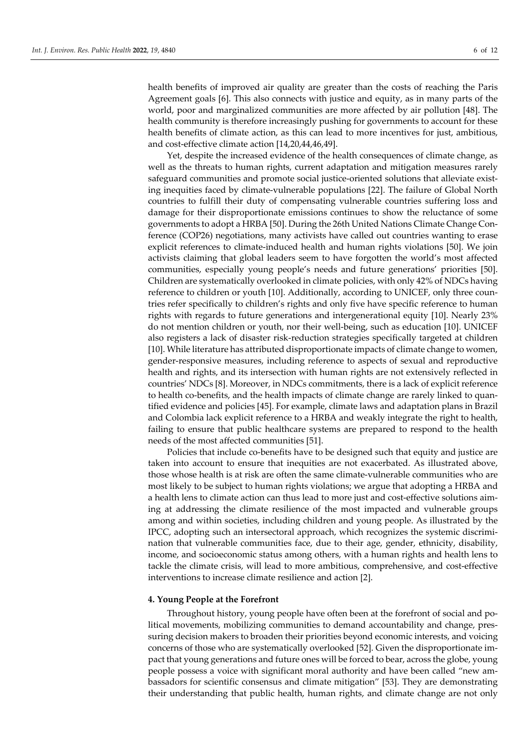health benefits of improved air quality are greater than the costs of reaching the Paris Agreement goals [6]. This also connects with justice and equity, as in many parts of the world, poor and marginalized communities are more affected by air pollution [48]. The health community is therefore increasingly pushing for governments to account for these health benefits of climate action, as this can lead to more incentives for just, ambitious, and cost-effective climate action [14,20,44,46,49].

Yet, despite the increased evidence of the health consequences of climate change, as well as the threats to human rights, current adaptation and mitigation measures rarely safeguard communities and promote social justice-oriented solutions that alleviate existing inequities faced by climate-vulnerable populations [22]. The failure of Global North countries to fulfill their duty of compensating vulnerable countries suffering loss and damage for their disproportionate emissions continues to show the reluctance of some governments to adopt a HRBA [50]. During the 26th United Nations Climate Change Conference (COP26) negotiations, many activists have called out countries wanting to erase explicit references to climate-induced health and human rights violations [50]. We join activists claiming that global leaders seem to have forgotten the world's most affected communities, especially young people's needs and future generations' priorities [50]. Children are systematically overlooked in climate policies, with only 42% of NDCs having reference to children or youth [10]. Additionally, according to UNICEF, only three countries refer specifically to children's rights and only five have specific reference to human rights with regards to future generations and intergenerational equity [10]. Nearly 23% do not mention children or youth, nor their well-being, such as education [10]. UNICEF also registers a lack of disaster risk-reduction strategies specifically targeted at children [10]. While literature has attributed disproportionate impacts of climate change to women, gender-responsive measures, including reference to aspects of sexual and reproductive health and rights, and its intersection with human rights are not extensively reflected in countries' NDCs [8]. Moreover, in NDCs commitments, there is a lack of explicit reference to health co-benefits, and the health impacts of climate change are rarely linked to quantified evidence and policies [45]. For example, climate laws and adaptation plans in Brazil and Colombia lack explicit reference to a HRBA and weakly integrate the right to health, failing to ensure that public healthcare systems are prepared to respond to the health needs of the most affected communities [51].

Policies that include co-benefits have to be designed such that equity and justice are taken into account to ensure that inequities are not exacerbated. As illustrated above, those whose health is at risk are often the same climate-vulnerable communities who are most likely to be subject to human rights violations; we argue that adopting a HRBA and a health lens to climate action can thus lead to more just and cost-effective solutions aiming at addressing the climate resilience of the most impacted and vulnerable groups among and within societies, including children and young people. As illustrated by the IPCC, adopting such an intersectoral approach, which recognizes the systemic discrimination that vulnerable communities face, due to their age, gender, ethnicity, disability, income, and socioeconomic status among others, with a human rights and health lens to tackle the climate crisis, will lead to more ambitious, comprehensive, and cost-effective interventions to increase climate resilience and action [2].

## **4. Young People at the Forefront**

Throughout history, young people have often been at the forefront of social and political movements, mobilizing communities to demand accountability and change, pressuring decision makers to broaden their priorities beyond economic interests, and voicing concerns of those who are systematically overlooked [52]. Given the disproportionate impact that young generations and future ones will be forced to bear, across the globe, young people possess a voice with significant moral authority and have been called "new ambassadors for scientific consensus and climate mitigation" [53]. They are demonstrating their understanding that public health, human rights, and climate change are not only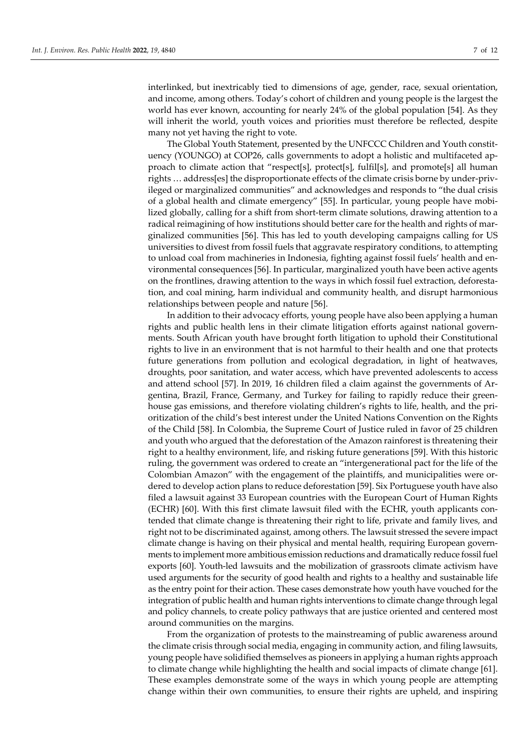interlinked, but inextricably tied to dimensions of age, gender, race, sexual orientation, and income, among others. Today's cohort of children and young people is the largest the world has ever known, accounting for nearly 24% of the global population [54]. As they will inherit the world, youth voices and priorities must therefore be reflected, despite many not yet having the right to vote.

The Global Youth Statement, presented by the UNFCCC Children and Youth constituency (YOUNGO) at COP26, calls governments to adopt a holistic and multifaceted approach to climate action that "respect[s], protect[s], fulfil[s], and promote[s] all human rights … address[es] the disproportionate effects of the climate crisis borne by under-privileged or marginalized communities" and acknowledges and responds to "the dual crisis of a global health and climate emergency" [55]. In particular, young people have mobilized globally, calling for a shift from short-term climate solutions, drawing attention to a radical reimagining of how institutions should better care for the health and rights of marginalized communities [56]. This has led to youth developing campaigns calling for US universities to divest from fossil fuels that aggravate respiratory conditions, to attempting to unload coal from machineries in Indonesia, fighting against fossil fuels' health and environmental consequences [56]. In particular, marginalized youth have been active agents on the frontlines, drawing attention to the ways in which fossil fuel extraction, deforestation, and coal mining, harm individual and community health, and disrupt harmonious relationships between people and nature [56].

In addition to their advocacy efforts, young people have also been applying a human rights and public health lens in their climate litigation efforts against national governments. South African youth have brought forth litigation to uphold their Constitutional rights to live in an environment that is not harmful to their health and one that protects future generations from pollution and ecological degradation, in light of heatwaves, droughts, poor sanitation, and water access, which have prevented adolescents to access and attend school [57]. In 2019, 16 children filed a claim against the governments of Argentina, Brazil, France, Germany, and Turkey for failing to rapidly reduce their greenhouse gas emissions, and therefore violating children's rights to life, health, and the prioritization of the child's best interest under the United Nations Convention on the Rights of the Child [58]. In Colombia, the Supreme Court of Justice ruled in favor of 25 children and youth who argued that the deforestation of the Amazon rainforest is threatening their right to a healthy environment, life, and risking future generations [59]. With this historic ruling, the government was ordered to create an "intergenerational pact for the life of the Colombian Amazon" with the engagement of the plaintiffs, and municipalities were ordered to develop action plans to reduce deforestation [59]. Six Portuguese youth have also filed a lawsuit against 33 European countries with the European Court of Human Rights (ECHR) [60]. With this first climate lawsuit filed with the ECHR, youth applicants contended that climate change is threatening their right to life, private and family lives, and right not to be discriminated against, among others. The lawsuit stressed the severe impact climate change is having on their physical and mental health, requiring European governments to implement more ambitious emission reductions and dramatically reduce fossil fuel exports [60]. Youth-led lawsuits and the mobilization of grassroots climate activism have used arguments for the security of good health and rights to a healthy and sustainable life as the entry point for their action. These cases demonstrate how youth have vouched for the integration of public health and human rights interventions to climate change through legal and policy channels, to create policy pathways that are justice oriented and centered most around communities on the margins.

From the organization of protests to the mainstreaming of public awareness around the climate crisis through social media, engaging in community action, and filing lawsuits, young people have solidified themselves as pioneers in applying a human rights approach to climate change while highlighting the health and social impacts of climate change [61]. These examples demonstrate some of the ways in which young people are attempting change within their own communities, to ensure their rights are upheld, and inspiring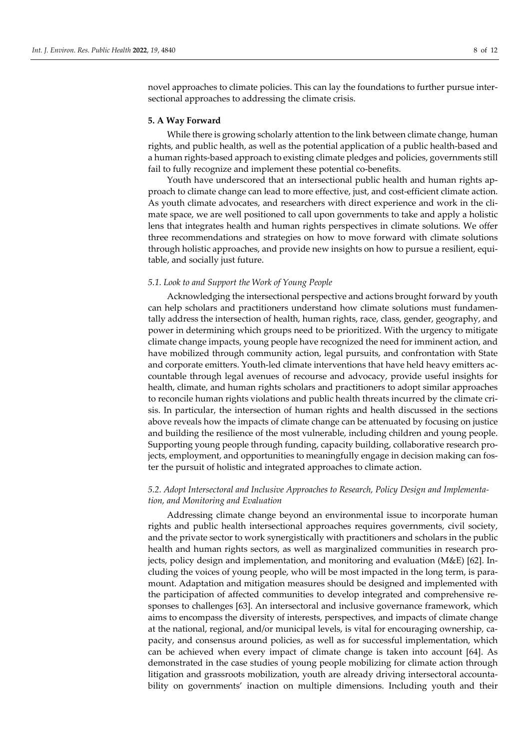novel approaches to climate policies. This can lay the foundations to further pursue intersectional approaches to addressing the climate crisis.

## **5. A Way Forward**

While there is growing scholarly attention to the link between climate change, human rights, and public health, as well as the potential application of a public health-based and a human rights-based approach to existing climate pledges and policies, governments still fail to fully recognize and implement these potential co-benefits.

Youth have underscored that an intersectional public health and human rights approach to climate change can lead to more effective, just, and cost-efficient climate action. As youth climate advocates, and researchers with direct experience and work in the climate space, we are well positioned to call upon governments to take and apply a holistic lens that integrates health and human rights perspectives in climate solutions. We offer three recommendations and strategies on how to move forward with climate solutions through holistic approaches, and provide new insights on how to pursue a resilient, equitable, and socially just future.

## *5.1. Look to and Support the Work of Young People*

Acknowledging the intersectional perspective and actions brought forward by youth can help scholars and practitioners understand how climate solutions must fundamentally address the intersection of health, human rights, race, class, gender, geography, and power in determining which groups need to be prioritized. With the urgency to mitigate climate change impacts, young people have recognized the need for imminent action, and have mobilized through community action, legal pursuits, and confrontation with State and corporate emitters. Youth-led climate interventions that have held heavy emitters accountable through legal avenues of recourse and advocacy, provide useful insights for health, climate, and human rights scholars and practitioners to adopt similar approaches to reconcile human rights violations and public health threats incurred by the climate crisis. In particular, the intersection of human rights and health discussed in the sections above reveals how the impacts of climate change can be attenuated by focusing on justice and building the resilience of the most vulnerable, including children and young people. Supporting young people through funding, capacity building, collaborative research projects, employment, and opportunities to meaningfully engage in decision making can foster the pursuit of holistic and integrated approaches to climate action.

## *5.2. Adopt Intersectoral and Inclusive Approaches to Research, Policy Design and Implementation, and Monitoring and Evaluation*

Addressing climate change beyond an environmental issue to incorporate human rights and public health intersectional approaches requires governments, civil society, and the private sector to work synergistically with practitioners and scholars in the public health and human rights sectors, as well as marginalized communities in research projects, policy design and implementation, and monitoring and evaluation (M&E) [62]. Including the voices of young people, who will be most impacted in the long term, is paramount. Adaptation and mitigation measures should be designed and implemented with the participation of affected communities to develop integrated and comprehensive responses to challenges [63]. An intersectoral and inclusive governance framework, which aims to encompass the diversity of interests, perspectives, and impacts of climate change at the national, regional, and/or municipal levels, is vital for encouraging ownership, capacity, and consensus around policies, as well as for successful implementation, which can be achieved when every impact of climate change is taken into account [64]. As demonstrated in the case studies of young people mobilizing for climate action through litigation and grassroots mobilization, youth are already driving intersectoral accountability on governments' inaction on multiple dimensions. Including youth and their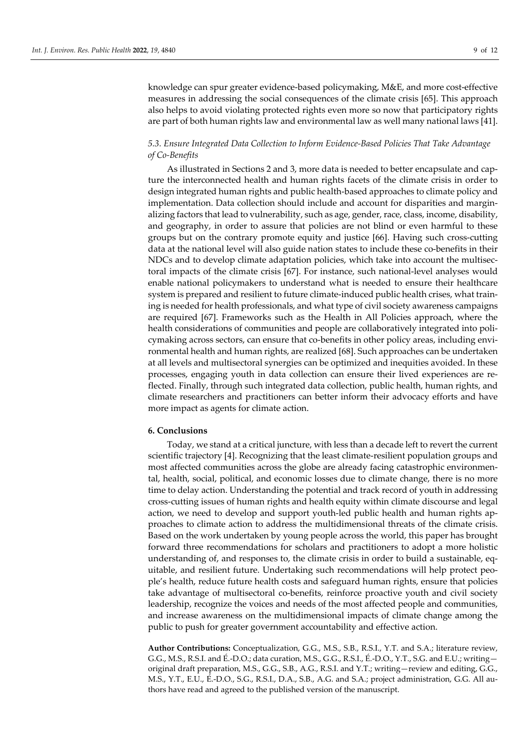knowledge can spur greater evidence-based policymaking, M&E, and more cost-effective measures in addressing the social consequences of the climate crisis [65]. This approach also helps to avoid violating protected rights even more so now that participatory rights are part of both human rights law and environmental law as well many national laws [41].

# *5.3. Ensure Integrated Data Collection to Inform Evidence-Based Policies That Take Advantage of Co-Benefits*

As illustrated in Sections 2 and 3, more data is needed to better encapsulate and capture the interconnected health and human rights facets of the climate crisis in order to design integrated human rights and public health-based approaches to climate policy and implementation. Data collection should include and account for disparities and marginalizing factors that lead to vulnerability, such as age, gender, race, class, income, disability, and geography, in order to assure that policies are not blind or even harmful to these groups but on the contrary promote equity and justice [66]. Having such cross-cutting data at the national level will also guide nation states to include these co-benefits in their NDCs and to develop climate adaptation policies, which take into account the multisectoral impacts of the climate crisis [67]. For instance, such national-level analyses would enable national policymakers to understand what is needed to ensure their healthcare system is prepared and resilient to future climate-induced public health crises, what training is needed for health professionals, and what type of civil society awareness campaigns are required [67]. Frameworks such as the Health in All Policies approach, where the health considerations of communities and people are collaboratively integrated into policymaking across sectors, can ensure that co-benefits in other policy areas, including environmental health and human rights, are realized [68]. Such approaches can be undertaken at all levels and multisectoral synergies can be optimized and inequities avoided. In these processes, engaging youth in data collection can ensure their lived experiences are reflected. Finally, through such integrated data collection, public health, human rights, and climate researchers and practitioners can better inform their advocacy efforts and have more impact as agents for climate action.

#### **6. Conclusions**

Today, we stand at a critical juncture, with less than a decade left to revert the current scientific trajectory [4]. Recognizing that the least climate-resilient population groups and most affected communities across the globe are already facing catastrophic environmental, health, social, political, and economic losses due to climate change, there is no more time to delay action. Understanding the potential and track record of youth in addressing cross-cutting issues of human rights and health equity within climate discourse and legal action, we need to develop and support youth-led public health and human rights approaches to climate action to address the multidimensional threats of the climate crisis. Based on the work undertaken by young people across the world, this paper has brought forward three recommendations for scholars and practitioners to adopt a more holistic understanding of, and responses to, the climate crisis in order to build a sustainable, equitable, and resilient future. Undertaking such recommendations will help protect people's health, reduce future health costs and safeguard human rights, ensure that policies take advantage of multisectoral co-benefits, reinforce proactive youth and civil society leadership, recognize the voices and needs of the most affected people and communities, and increase awareness on the multidimensional impacts of climate change among the public to push for greater government accountability and effective action.

**Author Contributions:** Conceptualization, G.G., M.S., S.B., R.S.I., Y.T. and S.A.; literature review, G.G., M.S., R.S.I. and É.-D.O.; data curation, M.S., G.G., R.S.I., É.-D.O., Y.T., S.G. and E.U.; writing original draft preparation, M.S., G.G., S.B., A.G., R.S.I. and Y.T.; writing—review and editing, G.G., M.S., Y.T., E.U., É.-D.O., S.G., R.S.I., D.A., S.B., A.G. and S.A.; project administration, G.G. All authors have read and agreed to the published version of the manuscript.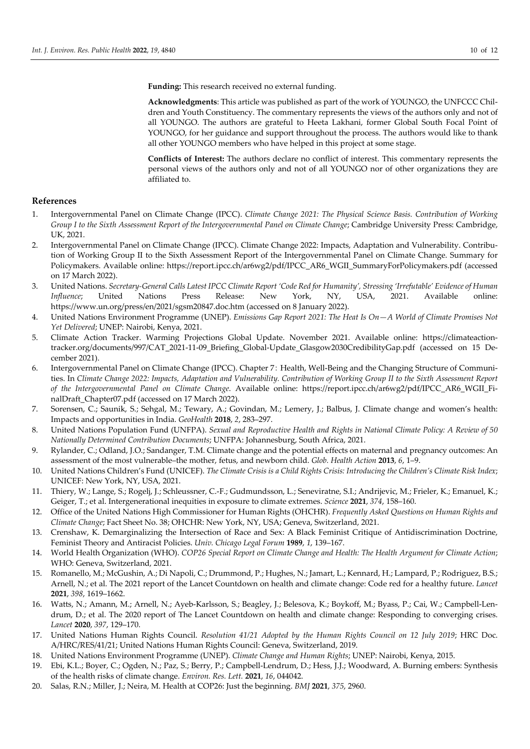**Funding:** This research received no external funding.

**Acknowledgments**: This article was published as part of the work of YOUNGO, the UNFCCC Children and Youth Constituency. The commentary represents the views of the authors only and not of all YOUNGO. The authors are grateful to Heeta Lakhani, former Global South Focal Point of YOUNGO, for her guidance and support throughout the process. The authors would like to thank all other YOUNGO members who have helped in this project at some stage.

**Conflicts of Interest:** The authors declare no conflict of interest. This commentary represents the personal views of the authors only and not of all YOUNGO nor of other organizations they are affiliated to.

## **References**

- 1. Intergovernmental Panel on Climate Change (IPCC). *Climate Change 2021: The Physical Science Basis. Contribution of Working Group I to the Sixth Assessment Report of the Intergovernmental Panel on Climate Change*; Cambridge University Press: Cambridge, UK, 2021.
- 2. Intergovernmental Panel on Climate Change (IPCC). Climate Change 2022: Impacts, Adaptation and Vulnerability. Contribution of Working Group II to the Sixth Assessment Report of the Intergovernmental Panel on Climate Change. Summary for Policymakers. Available online: https://report.ipcc.ch/ar6wg2/pdf/IPCC\_AR6\_WGII\_SummaryForPolicymakers.pdf (accessed on 17 March 2022).
- 3. United Nations. *Secretary-General Calls Latest IPCC Climate Report 'Code Red for Humanity', Stressing 'Irrefutable' Evidence of Human Influence*; United Nations Press Release: New York, NY, USA, 2021. Available online: https://www.un.org/press/en/2021/sgsm20847.doc.htm (accessed on 8 January 2022).
- 4. United Nations Environment Programme (UNEP). *Emissions Gap Report 2021: The Heat Is On—A World of Climate Promises Not Yet Delivered*; UNEP: Nairobi, Kenya, 2021.
- 5. Climate Action Tracker. Warming Projections Global Update. November 2021. Available online: https://climateactiontracker.org/documents/997/CAT\_2021-11-09\_Briefing\_Global-Update\_Glasgow2030CredibilityGap.pdf (accessed on 15 December 2021).
- 6. Intergovernmental Panel on Climate Change (IPCC). Chapter 7: Health, Well-Being and the Changing Structure of Communities. In *Climate Change 2022: Impacts, Adaptation and Vulnerability. Contribution of Working Group II to the Sixth Assessment Report of the Intergovernmental Panel on Climate Change*. Available online: https://report.ipcc.ch/ar6wg2/pdf/IPCC\_AR6\_WGII\_FinalDraft\_Chapter07.pdf (accessed on 17 March 2022).
- 7. Sorensen, C.; Saunik, S.; Sehgal, M.; Tewary, A.; Govindan, M.; Lemery, J.; Balbus, J. Climate change and women's health: Impacts and opportunities in India. *GeoHealth* **2018**, *2*, 283–297.
- 8. United Nations Population Fund (UNFPA). *Sexual and Reproductive Health and Rights in National Climate Policy: A Review of 50 Nationally Determined Contribution Documents*; UNFPA: Johannesburg, South Africa, 2021.
- 9. Rylander, C.; Odland, J.O.; Sandanger, T.M. Climate change and the potential effects on maternal and pregnancy outcomes: An assessment of the most vulnerable–the mother, fetus, and newborn child. *Glob. Health Action* **2013**, *6*, 1–9.
- 10. United Nations Children's Fund (UNICEF). *The Climate Crisis is a Child Rights Crisis: Introducing the Children's Climate Risk Index*; UNICEF: New York, NY, USA, 2021.
- 11. Thiery, W.; Lange, S.; Rogelj, J.; Schleussner, C.-F.; Gudmundsson, L.; Seneviratne, S.I.; Andrijevic, M.; Frieler, K.; Emanuel, K.; Geiger, T.; et al. Intergenerational inequities in exposure to climate extremes. *Science* **2021**, *374*, 158–160.
- 12. Office of the United Nations High Commissioner for Human Rights (OHCHR). *Frequently Asked Questions on Human Rights and Climate Change*; Fact Sheet No. 38; OHCHR: New York, NY, USA; Geneva, Switzerland, 2021.
- 13. Crenshaw, K. Demarginalizing the Intersection of Race and Sex: A Black Feminist Critique of Antidiscrimination Doctrine, Feminist Theory and Antiracist Policies. *Univ. Chicago Legal Forum* **1989**, *1*, 139–167.
- 14. World Health Organization (WHO). *COP26 Special Report on Climate Change and Health: The Health Argument for Climate Action*; WHO: Geneva, Switzerland, 2021.
- 15. Romanello, M.; McGushin, A.; Di Napoli, C.; Drummond, P.; Hughes, N.; Jamart, L.; Kennard, H.; Lampard, P.; Rodriguez, B.S.; Arnell, N.; et al. The 2021 report of the Lancet Countdown on health and climate change: Code red for a healthy future. *Lancet* **2021**, *398*, 1619–1662.
- 16. Watts, N.; Amann, M.; Arnell, N.; Ayeb-Karlsson, S.; Beagley, J.; Belesova, K.; Boykoff, M.; Byass, P.; Cai, W.; Campbell-Lendrum, D.; et al. The 2020 report of The Lancet Countdown on health and climate change: Responding to converging crises. *Lancet* **2020**, *397*, 129–170.
- 17. United Nations Human Rights Council. *Resolution 41/21 Adopted by the Human Rights Council on 12 July 2019*; HRC Doc. A/HRC/RES/41/21; United Nations Human Rights Council: Geneva, Switzerland, 2019.
- 18. United Nations Environment Programme (UNEP). *Climate Change and Human Rights*; UNEP: Nairobi, Kenya, 2015.
- 19. Ebi, K.L.; Boyer, C.; Ogden, N.; Paz, S.; Berry, P.; Campbell-Lendrum, D.; Hess, J.J.; Woodward, A. Burning embers: Synthesis of the health risks of climate change. *Environ. Res. Lett.* **2021**, *16*, 044042.
- 20. Salas, R.N.; Miller, J.; Neira, M. Health at COP26: Just the beginning. *BMJ* **2021**, *375*, 2960.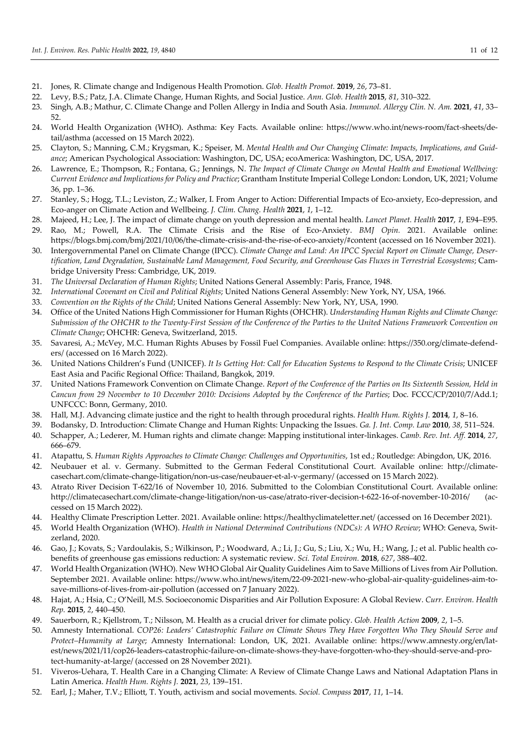- 21. Jones, R. Climate change and Indigenous Health Promotion. *Glob. Health Promot.* **2019**, *26*, 73–81.
- 22. Levy, B.S.; Patz, J.A. Climate Change, Human Rights, and Social Justice. *Ann. Glob. Health* **2015**, *81*, 310–322.
- 23. Singh, A.B.; Mathur, C. Climate Change and Pollen Allergy in India and South Asia. *Immunol. Allergy Clin. N. Am.* **2021**, *41*, 33– 52.
- 24. World Health Organization (WHO). Asthma: Key Facts. Available online: https://www.who.int/news-room/fact-sheets/detail/asthma (accessed on 15 March 2022).
- 25. Clayton, S.; Manning, C.M.; Krygsman, K.; Speiser, M. *Mental Health and Our Changing Climate: Impacts, Implications, and Guidance*; American Psychological Association: Washington, DC, USA; ecoAmerica: Washington, DC, USA, 2017.
- 26. Lawrence, E.; Thompson, R.; Fontana, G.; Jennings, N. *The Impact of Climate Change on Mental Health and Emotional Wellbeing: Current Evidence and Implications for Policy and Practice*; Grantham Institute Imperial College London: London, UK, 2021; Volume 36, pp. 1–36.
- 27. Stanley, S.; Hogg, T.L.; Leviston, Z.; Walker, I. From Anger to Action: Differential Impacts of Eco-anxiety, Eco-depression, and Eco-anger on Climate Action and Wellbeing. *J. Clim. Chang. Health* **2021**, *1*, 1–12.
- 28. Majeed, H.; Lee, J. The impact of climate change on youth depression and mental health. *Lancet Planet. Health* **2017**, *1*, E94–E95.
- 29. Rao, M.; Powell, R.A. The Climate Crisis and the Rise of Eco-Anxiety. *BMJ Opin.* 2021. Available online: https://blogs.bmj.com/bmj/2021/10/06/the-climate-crisis-and-the-rise-of-eco-anxiety/#content (accessed on 16 November 2021).
- 30. Intergovernmental Panel on Climate Change (IPCC). *Climate Change and Land: An IPCC Special Report on Climate Change, Desertification, Land Degradation, Sustainable Land Management, Food Security, and Greenhouse Gas Fluxes in Terrestrial Ecosystems*; Cambridge University Press: Cambridge, UK, 2019.
- 31. *The Universal Declaration of Human Rights*; United Nations General Assembly: Paris, France, 1948.
- 32. *International Covenant on Civil and Political Rights*; United Nations General Assembly: New York, NY, USA, 1966.
- 33. *Convention on the Rights of the Child*; United Nations General Assembly: New York, NY, USA, 1990.
- 34. Office of the United Nations High Commissioner for Human Rights (OHCHR). *Understanding Human Rights and Climate Change: Submission of the OHCHR to the Twenty-First Session of the Conference of the Parties to the United Nations Framework Convention on Climate Change*; OHCHR: Geneva, Switzerland, 2015.
- 35. Savaresi, A.; McVey, M.C. Human Rights Abuses by Fossil Fuel Companies. Available online: https://350.org/climate-defenders/ (accessed on 16 March 2022).
- 36. United Nations Children's Fund (UNICEF). *It Is Getting Hot: Call for Education Systems to Respond to the Climate Crisis*; UNICEF East Asia and Pacific Regional Office: Thailand, Bangkok, 2019.
- 37. United Nations Framework Convention on Climate Change. *Report of the Conference of the Parties on Its Sixteenth Session, Held in Cancun from 29 November to 10 December 2010: Decisions Adopted by the Conference of the Parties*; Doc. FCCC/CP/2010/7/Add.1; UNFCCC: Bonn, Germany, 2010.
- 38. Hall, M.J. Advancing climate justice and the right to health through procedural rights. *Health Hum. Rights J.* **2014**, *1*, 8–16.
- 39. Bodansky, D. Introduction: Climate Change and Human Rights: Unpacking the Issues. *Ga. J. Int. Comp. Law* **2010**, *38*, 511–524.
- 40. Schapper, A.; Lederer, M. Human rights and climate change: Mapping institutional inter-linkages. *Camb. Rev. Int. Aff.* **2014**, *27*, 666–679.
- 41. Atapattu, S. *Human Rights Approaches to Climate Change: Challenges and Opportunities*, 1st ed.; Routledge: Abingdon, UK, 2016.
- 42. Neubauer et al. v. Germany. Submitted to the German Federal Constitutional Court. Available online: http://climatecasechart.com/climate-change-litigation/non-us-case/neubauer-et-al-v-germany/ (accessed on 15 March 2022).
- 43. Atrato River Decision T-622/16 of November 10, 2016. Submitted to the Colombian Constitutional Court. Available online: http://climatecasechart.com/climate-change-litigation/non-us-case/atrato-river-decision-t-622-16-of-november-10-2016/ (accessed on 15 March 2022).
- 44. Healthy Climate Prescription Letter. 2021. Available online: https://healthyclimateletter.net/ (accessed on 16 December 2021).
- 45. World Health Organization (WHO). *Health in National Determined Contributions (NDCs): A WHO Review*; WHO: Geneva, Switzerland, 2020.
- 46. Gao, J.; Kovats, S.; Vardoulakis, S.; Wilkinson, P.; Woodward, A.; Li, J.; Gu, S.; Liu, X.; Wu, H.; Wang, J.; et al. Public health cobenefits of greenhouse gas emissions reduction: A systematic review. *Sci. Total Environ.* **2018**, *627*, 388–402.
- 47. World Health Organization (WHO). New WHO Global Air Quality Guidelines Aim to Save Millions of Lives from Air Pollution. September 2021. Available online: https://www.who.int/news/item/22-09-2021-new-who-global-air-quality-guidelines-aim-tosave-millions-of-lives-from-air-pollution (accessed on 7 January 2022).
- 48. Hajat, A.; Hsia, C.; O'Neill, M.S. Socioeconomic Disparities and Air Pollution Exposure: A Global Review. *Curr. Environ. Health Rep.* **2015**, *2*, 440–450.
- 49. Sauerborn, R.; Kjellstrom, T.; Nilsson, M. Health as a crucial driver for climate policy. *Glob. Health Action* **2009**, *2*, 1–5.
- 50. Amnesty International. *COP26: Leaders' Catastrophic Failure on Climate Shows They Have Forgotten Who They Should Serve and Protect–Humanity at Large*; Amnesty International: London, UK, 2021. Available online: https://www.amnesty.org/en/latest/news/2021/11/cop26-leaders-catastrophic-failure-on-climate-shows-they-have-forgotten-who-they-should-serve-and-protect-humanity-at-large/ (accessed on 28 November 2021).
- 51. Viveros-Uehara, T. Health Care in a Changing Climate: A Review of Climate Change Laws and National Adaptation Plans in Latin America. *Health Hum. Rights J.* **2021**, *23*, 139–151.
- 52. Earl, J.; Maher, T.V.; Elliott, T. Youth, activism and social movements. *Sociol. Compass* **2017**, *11*, 1–14.